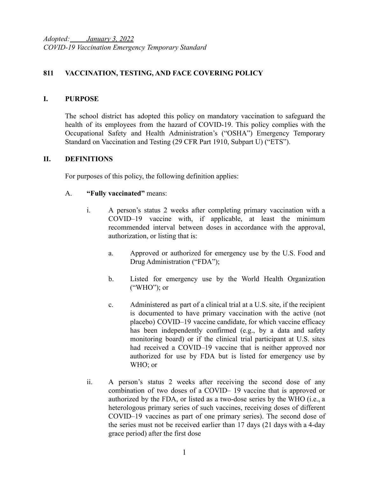*Adopted: January 3, 2022 COVID-19 Vaccination Emergency Temporary Standard*

### **811 VACCINATION, TESTING, AND FACE COVERING POLICY**

#### **I. PURPOSE**

The school district has adopted this policy on mandatory vaccination to safeguard the health of its employees from the hazard of COVID-19. This policy complies with the Occupational Safety and Health Administration's ("OSHA") Emergency Temporary Standard on Vaccination and Testing (29 CFR Part 1910, Subpart U) ("ETS").

#### **II. DEFINITIONS**

For purposes of this policy, the following definition applies:

#### A. **"Fully vaccinated"** means:

- i. A person's status 2 weeks after completing primary vaccination with a COVID–19 vaccine with, if applicable, at least the minimum recommended interval between doses in accordance with the approval, authorization, or listing that is:
	- a. Approved or authorized for emergency use by the U.S. Food and Drug Administration ("FDA");
	- b. Listed for emergency use by the World Health Organization ("WHO"); or
	- c. Administered as part of a clinical trial at a U.S. site, if the recipient is documented to have primary vaccination with the active (not placebo) COVID–19 vaccine candidate, for which vaccine efficacy has been independently confirmed (e.g., by a data and safety monitoring board) or if the clinical trial participant at U.S. sites had received a COVID–19 vaccine that is neither approved nor authorized for use by FDA but is listed for emergency use by WHO; or
- ii. A person's status 2 weeks after receiving the second dose of any combination of two doses of a COVID– 19 vaccine that is approved or authorized by the FDA, or listed as a two-dose series by the WHO (i.e., a heterologous primary series of such vaccines, receiving doses of different COVID–19 vaccines as part of one primary series). The second dose of the series must not be received earlier than 17 days (21 days with a 4-day grace period) after the first dose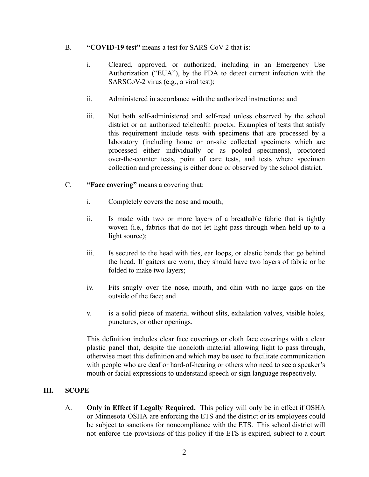#### B. **"COVID-19 test"** means a test for SARS-CoV-2 that is:

- i. Cleared, approved, or authorized, including in an Emergency Use Authorization ("EUA"), by the FDA to detect current infection with the SARSCoV-2 virus (e.g., a viral test);
- ii. Administered in accordance with the authorized instructions; and
- iii. Not both self-administered and self-read unless observed by the school district or an authorized telehealth proctor. Examples of tests that satisfy this requirement include tests with specimens that are processed by a laboratory (including home or on-site collected specimens which are processed either individually or as pooled specimens), proctored over-the-counter tests, point of care tests, and tests where specimen collection and processing is either done or observed by the school district.
- C. **"Face covering"** means a covering that:
	- i. Completely covers the nose and mouth;
	- ii. Is made with two or more layers of a breathable fabric that is tightly woven (i.e., fabrics that do not let light pass through when held up to a light source);
	- iii. Is secured to the head with ties, ear loops, or elastic bands that go behind the head. If gaiters are worn, they should have two layers of fabric or be folded to make two layers;
	- iv. Fits snugly over the nose, mouth, and chin with no large gaps on the outside of the face; and
	- v. is a solid piece of material without slits, exhalation valves, visible holes, punctures, or other openings.

This definition includes clear face coverings or cloth face coverings with a clear plastic panel that, despite the noncloth material allowing light to pass through, otherwise meet this definition and which may be used to facilitate communication with people who are deaf or hard-of-hearing or others who need to see a speaker's mouth or facial expressions to understand speech or sign language respectively.

### **III. SCOPE**

A. **Only in Effect if Legally Required.** This policy will only be in effect if OSHA or Minnesota OSHA are enforcing the ETS and the district or its employees could be subject to sanctions for noncompliance with the ETS. This school district will not enforce the provisions of this policy if the ETS is expired, subject to a court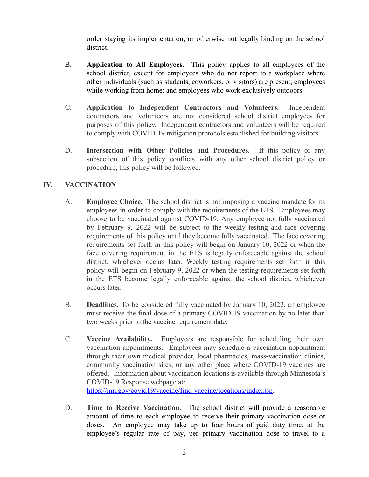order staying its implementation, or otherwise not legally binding on the school district.

- B. **Application to All Employees.** This policy applies to all employees of the school district, except for employees who do not report to a workplace where other individuals (such as students, coworkers, or visitors) are present; employees while working from home; and employees who work exclusively outdoors.
- C. **Application to Independent Contractors and Volunteers.** Independent contractors and volunteers are not considered school district employees for purposes of this policy. Independent contractors and volunteers will be required to comply with COVID-19 mitigation protocols established for building visitors.
- D. **Intersection with Other Policies and Procedures.** If this policy or any subsection of this policy conflicts with any other school district policy or procedure, this policy will be followed.

# **IV. VACCINATION**

- A. **Employee Choice.** The school district is not imposing a vaccine mandate for its employees in order to comply with the requirements of the ETS. Employees may choose to be vaccinated against COVID-19. Any employee not fully vaccinated by February 9, 2022 will be subject to the weekly testing and face covering requirements of this policy until they become fully vaccinated. The face covering requirements set forth in this policy will begin on January 10, 2022 or when the face covering requirement in the ETS is legally enforceable against the school district, whichever occurs later. Weekly testing requirements set forth in this policy will begin on February 9, 2022 or when the testing requirements set forth in the ETS become legally enforceable against the school district, whichever occurs later.
- B. **Deadlines.** To be considered fully vaccinated by January 10, 2022, an employee must receive the final dose of a primary COVID-19 vaccination by no later than two weeks prior to the vaccine requirement date.
- C. **Vaccine Availability.** Employees are responsible for scheduling their own vaccination appointments. Employees may schedule a vaccination appointment through their own medical provider, local pharmacies, mass-vaccination clinics, community vaccination sites, or any other place where COVID-19 vaccines are offered. Information about vaccination locations is available through Minnesota's COVID-19 Response webpage at: [https://mn.gov/covid19/vaccine/find-vaccine/locations/index.jsp.](https://mn.gov/covid19/vaccine/find-vaccine/locations/index.jsp)
- D. **Time to Receive Vaccination.** The school district will provide a reasonable amount of time to each employee to receive their primary vaccination dose or doses. An employee may take up to four hours of paid duty time, at the employee's regular rate of pay, per primary vaccination dose to travel to a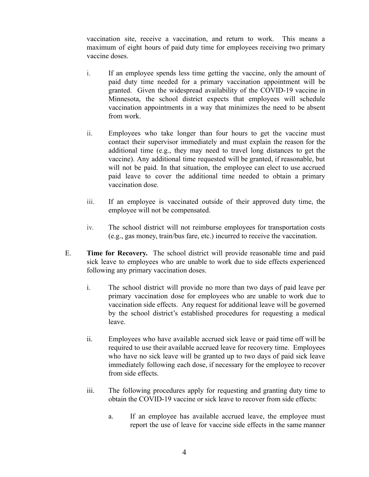vaccination site, receive a vaccination, and return to work. This means a maximum of eight hours of paid duty time for employees receiving two primary vaccine doses.

- i. If an employee spends less time getting the vaccine, only the amount of paid duty time needed for a primary vaccination appointment will be granted. Given the widespread availability of the COVID-19 vaccine in Minnesota, the school district expects that employees will schedule vaccination appointments in a way that minimizes the need to be absent from work.
- ii. Employees who take longer than four hours to get the vaccine must contact their supervisor immediately and must explain the reason for the additional time (e.g., they may need to travel long distances to get the vaccine). Any additional time requested will be granted, if reasonable, but will not be paid. In that situation, the employee can elect to use accrued paid leave to cover the additional time needed to obtain a primary vaccination dose.
- iii. If an employee is vaccinated outside of their approved duty time, the employee will not be compensated.
- iv. The school district will not reimburse employees for transportation costs (e.g., gas money, train/bus fare, etc.) incurred to receive the vaccination.
- E. **Time for Recovery.** The school district will provide reasonable time and paid sick leave to employees who are unable to work due to side effects experienced following any primary vaccination doses.
	- i. The school district will provide no more than two days of paid leave per primary vaccination dose for employees who are unable to work due to vaccination side effects. Any request for additional leave will be governed by the school district's established procedures for requesting a medical leave.
	- ii. Employees who have available accrued sick leave or paid time off will be required to use their available accrued leave for recovery time. Employees who have no sick leave will be granted up to two days of paid sick leave immediately following each dose, if necessary for the employee to recover from side effects.
	- iii. The following procedures apply for requesting and granting duty time to obtain the COVID-19 vaccine or sick leave to recover from side effects:
		- a. If an employee has available accrued leave, the employee must report the use of leave for vaccine side effects in the same manner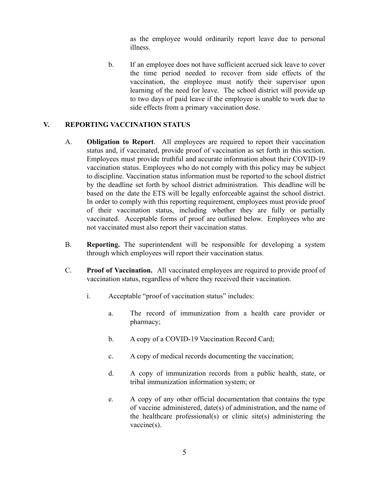as the employee would ordinarily report leave due to personal illness.

b. If an employee does not have sufficient accrued sick leave to cover the time period needed to recover from side effects of the vaccination, the employee must notify their supervisor upon learning of the need for leave. The school district will provide up to two days of paid leave if the employee is unable to work due to side effects from a primary vaccination dose.

### **V. REPORTING VACCINATION STATUS**

- A. **Obligation to Report**. All employees are required to report their vaccination status and, if vaccinated, provide proof of vaccination as set forth in this section. Employees must provide truthful and accurate information about their COVID-19 vaccination status. Employees who do not comply with this policy may be subject to discipline. Vaccination status information must be reported to the school district by the deadline set forth by school district administration. This deadline will be based on the date the ETS will be legally enforceable against the school district. In order to comply with this reporting requirement, employees must provide proof of their vaccination status, including whether they are fully or partially vaccinated. Acceptable forms of proof are outlined below. Employees who are not vaccinated must also report their vaccination status.
- B. **Reporting.** The superintendent will be responsible for developing a system through which employees will report their vaccination status.
- C. **Proof of Vaccination.** All vaccinated employees are required to provide proof of vaccination status, regardless of where they received their vaccination.
	- i. Acceptable "proof of vaccination status" includes:
		- a. The record of immunization from a health care provider or pharmacy;
		- b. A copy of a COVID-19 Vaccination Record Card;
		- c. A copy of medical records documenting the vaccination;
		- d. A copy of immunization records from a public health, state, or tribal immunization information system; or
		- e. A copy of any other official documentation that contains the type of vaccine administered, date(s) of administration, and the name of the healthcare professional(s) or clinic site(s) administering the vaccine(s).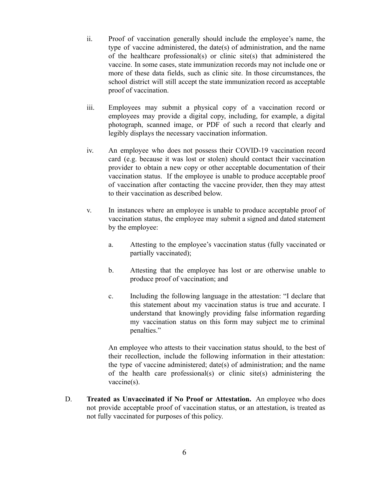- ii. Proof of vaccination generally should include the employee's name, the type of vaccine administered, the date(s) of administration, and the name of the healthcare professional(s) or clinic site(s) that administered the vaccine. In some cases, state immunization records may not include one or more of these data fields, such as clinic site. In those circumstances, the school district will still accept the state immunization record as acceptable proof of vaccination.
- iii. Employees may submit a physical copy of a vaccination record or employees may provide a digital copy, including, for example, a digital photograph, scanned image, or PDF of such a record that clearly and legibly displays the necessary vaccination information.
- iv. An employee who does not possess their COVID-19 vaccination record card (e.g. because it was lost or stolen) should contact their vaccination provider to obtain a new copy or other acceptable documentation of their vaccination status. If the employee is unable to produce acceptable proof of vaccination after contacting the vaccine provider, then they may attest to their vaccination as described below.
- v. In instances where an employee is unable to produce acceptable proof of vaccination status, the employee may submit a signed and dated statement by the employee:
	- a. Attesting to the employee's vaccination status (fully vaccinated or partially vaccinated);
	- b. Attesting that the employee has lost or are otherwise unable to produce proof of vaccination; and
	- c. Including the following language in the attestation: "I declare that this statement about my vaccination status is true and accurate. I understand that knowingly providing false information regarding my vaccination status on this form may subject me to criminal penalties."

An employee who attests to their vaccination status should, to the best of their recollection, include the following information in their attestation: the type of vaccine administered; date(s) of administration; and the name of the health care professional(s) or clinic site(s) administering the vaccine(s).

D. **Treated as Unvaccinated if No Proof or Attestation.** An employee who does not provide acceptable proof of vaccination status, or an attestation, is treated as not fully vaccinated for purposes of this policy.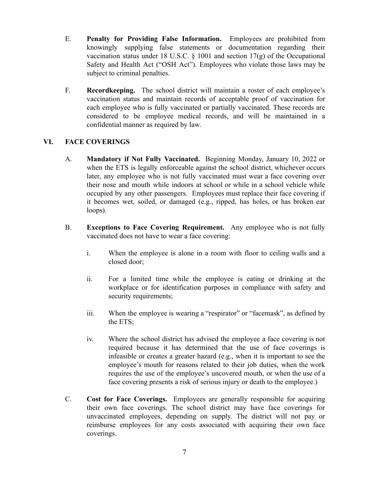- E. **Penalty for Providing False Information.** Employees are prohibited from knowingly supplying false statements or documentation regarding their vaccination status under 18 U.S.C.  $\S$  1001 and section 17(g) of the Occupational Safety and Health Act ("OSH Act"). Employees who violate those laws may be subject to criminal penalties.
- F. **Recordkeeping.** The school district will maintain a roster of each employee's vaccination status and maintain records of acceptable proof of vaccination for each employee who is fully vaccinated or partially vaccinated. These records are considered to be employee medical records, and will be maintained in a confidential manner as required by law.

### **VI. FACE COVERINGS**

- A. **Mandatory if Not Fully Vaccinated.** Beginning Monday, January 10, 2022 or when the ETS is legally enforceable against the school district, whichever occurs later, any employee who is not fully vaccinated must wear a face covering over their nose and mouth while indoors at school or while in a school vehicle while occupied by any other passengers. Employees must replace their face covering if it becomes wet, soiled, or damaged (e.g., ripped, has holes, or has broken ear loops).
- B. **Exceptions to Face Covering Requirement.** Any employee who is not fully vaccinated does not have to wear a face covering:
	- i. When the employee is alone in a room with floor to ceiling walls and a closed door;
	- ii. For a limited time while the employee is eating or drinking at the workplace or for identification purposes in compliance with safety and security requirements;
	- iii. When the employee is wearing a "respirator" or "facemask", as defined by the ETS;
	- iv. Where the school district has advised the employee a face covering is not required because it has determined that the use of face coverings is infeasible or creates a greater hazard (e.g., when it is important to see the employee's mouth for reasons related to their job duties, when the work requires the use of the employee's uncovered mouth, or when the use of a face covering presents a risk of serious injury or death to the employee.)
- C. **Cost for Face Coverings.** Employees are generally responsible for acquiring their own face coverings. The school district may have face coverings for unvaccinated employees, depending on supply. The district will not pay or reimburse employees for any costs associated with acquiring their own face coverings.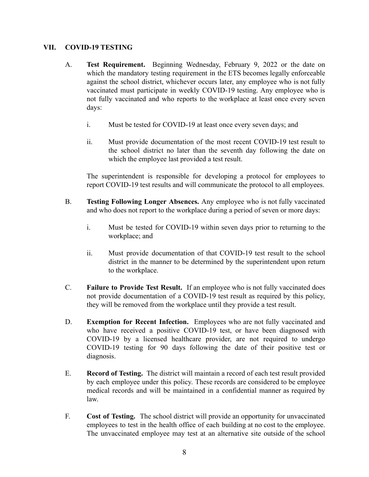#### **VII. COVID-19 TESTING**

- A. **Test Requirement.** Beginning Wednesday, February 9, 2022 or the date on which the mandatory testing requirement in the ETS becomes legally enforceable against the school district, whichever occurs later, any employee who is not fully vaccinated must participate in weekly COVID-19 testing. Any employee who is not fully vaccinated and who reports to the workplace at least once every seven days:
	- i. Must be tested for COVID-19 at least once every seven days; and
	- ii. Must provide documentation of the most recent COVID-19 test result to the school district no later than the seventh day following the date on which the employee last provided a test result.

The superintendent is responsible for developing a protocol for employees to report COVID-19 test results and will communicate the protocol to all employees.

- B. **Testing Following Longer Absences.** Any employee who is not fully vaccinated and who does not report to the workplace during a period of seven or more days:
	- i. Must be tested for COVID-19 within seven days prior to returning to the workplace; and
	- ii. Must provide documentation of that COVID-19 test result to the school district in the manner to be determined by the superintendent upon return to the workplace.
- C. **Failure to Provide Test Result.** If an employee who is not fully vaccinated does not provide documentation of a COVID-19 test result as required by this policy, they will be removed from the workplace until they provide a test result.
- D. **Exemption for Recent Infection.** Employees who are not fully vaccinated and who have received a positive COVID-19 test, or have been diagnosed with COVID-19 by a licensed healthcare provider, are not required to undergo COVID-19 testing for 90 days following the date of their positive test or diagnosis.
- E. **Record of Testing.** The district will maintain a record of each test result provided by each employee under this policy. These records are considered to be employee medical records and will be maintained in a confidential manner as required by law.
- F. **Cost of Testing.** The school district will provide an opportunity for unvaccinated employees to test in the health office of each building at no cost to the employee. The unvaccinated employee may test at an alternative site outside of the school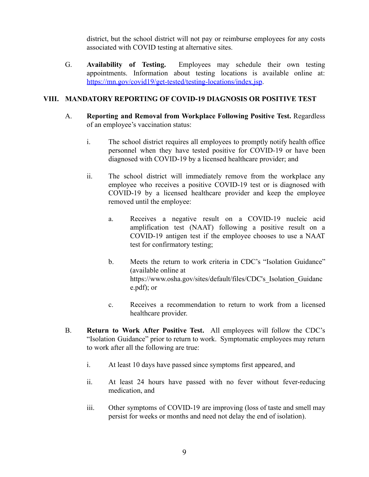district, but the school district will not pay or reimburse employees for any costs associated with COVID testing at alternative sites.

G. **Availability of Testing.** Employees may schedule their own testing appointments. Information about testing locations is available online at: <https://mn.gov/covid19/get-tested/testing-locations/index.jsp>.

# **VIII. MANDATORY REPORTING OF COVID-19 DIAGNOSIS OR POSITIVE TEST**

- A. **Reporting and Removal from Workplace Following Positive Test.** Regardless of an employee's vaccination status:
	- i. The school district requires all employees to promptly notify health office personnel when they have tested positive for COVID-19 or have been diagnosed with COVID-19 by a licensed healthcare provider; and
	- ii. The school district will immediately remove from the workplace any employee who receives a positive COVID-19 test or is diagnosed with COVID-19 by a licensed healthcare provider and keep the employee removed until the employee:
		- a. Receives a negative result on a COVID-19 nucleic acid amplification test (NAAT) following a positive result on a COVID-19 antigen test if the employee chooses to use a NAAT test for confirmatory testing;
		- b. Meets the return to work criteria in CDC's "Isolation Guidance" (available online at https://www.osha.gov/sites/default/files/CDC's Isolation Guidanc e.pdf); or
		- c. Receives a recommendation to return to work from a licensed healthcare provider.
- B. **Return to Work After Positive Test.** All employees will follow the CDC's "Isolation Guidance" prior to return to work. Symptomatic employees may return to work after all the following are true:
	- i. At least 10 days have passed since symptoms first appeared, and
	- ii. At least 24 hours have passed with no fever without fever-reducing medication, and
	- iii. Other symptoms of COVID-19 are improving (loss of taste and smell may persist for weeks or months and need not delay the end of isolation).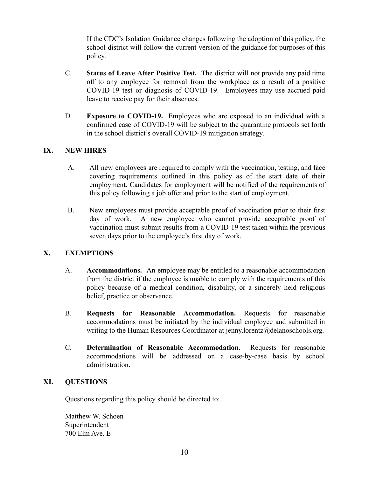If the CDC's Isolation Guidance changes following the adoption of this policy, the school district will follow the current version of the guidance for purposes of this policy.

- C. **Status of Leave After Positive Test.** The district will not provide any paid time off to any employee for removal from the workplace as a result of a positive COVID-19 test or diagnosis of COVID-19. Employees may use accrued paid leave to receive pay for their absences.
- D. **Exposure to COVID-19.** Employees who are exposed to an individual with a confirmed case of COVID-19 will be subject to the quarantine protocols set forth in the school district's overall COVID-19 mitigation strategy.

# **IX. NEW HIRES**

- A. All new employees are required to comply with the vaccination, testing, and face covering requirements outlined in this policy as of the start date of their employment. Candidates for employment will be notified of the requirements of this policy following a job offer and prior to the start of employment.
- B. New employees must provide acceptable proof of vaccination prior to their first day of work. A new employee who cannot provide acceptable proof of vaccination must submit results from a COVID-19 test taken within the previous seven days prior to the employee's first day of work.

### **X. EXEMPTIONS**

- A. **Accommodations.** An employee may be entitled to a reasonable accommodation from the district if the employee is unable to comply with the requirements of this policy because of a medical condition, disability, or a sincerely held religious belief, practice or observance.
- B. **Requests for Reasonable Accommodation.** Requests for reasonable accommodations must be initiated by the individual employee and submitted in writing to the Human Resources Coordinator at jenny.lorentz@delanoschools.org.
- C. **Determination of Reasonable Accommodation.** Requests for reasonable accommodations will be addressed on a case-by-case basis by school administration.

# **XI. QUESTIONS**

Questions regarding this policy should be directed to:

Matthew W. Schoen Superintendent 700 Elm Ave. E